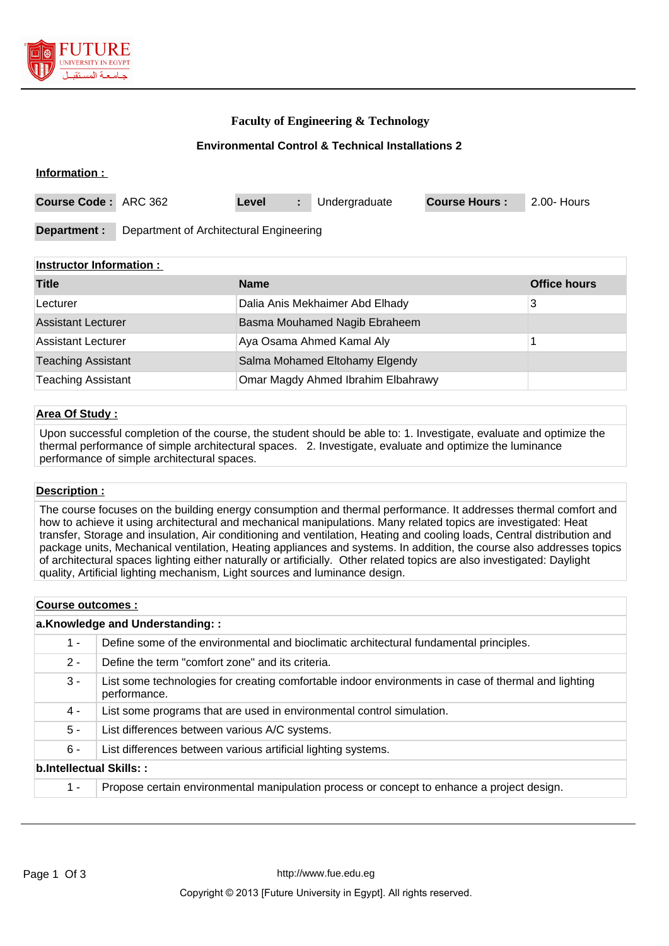

## **Faculty of Engineering & Technology**

#### **Environmental Control & Technical Installations 2**

| Information :               |                                         |       |    |               |                      |             |
|-----------------------------|-----------------------------------------|-------|----|---------------|----------------------|-------------|
| <b>Course Code: ARC 362</b> |                                         | Level | ÷. | Undergraduate | <b>Course Hours:</b> | 2.00- Hours |
| Department :                | Department of Architectural Engineering |       |    |               |                      |             |

#### **Instructor Information :**

| <b>Title</b>              | <b>Name</b>                        | <b>Office hours</b> |
|---------------------------|------------------------------------|---------------------|
| Lecturer                  | Dalia Anis Mekhaimer Abd Elhady    | 3                   |
| <b>Assistant Lecturer</b> | Basma Mouhamed Nagib Ebraheem      |                     |
| <b>Assistant Lecturer</b> | Aya Osama Ahmed Kamal Aly          |                     |
| <b>Teaching Assistant</b> | Salma Mohamed Eltohamy Elgendy     |                     |
| <b>Teaching Assistant</b> | Omar Magdy Ahmed Ibrahim Elbahrawy |                     |

# **Area Of Study :**

Upon successful completion of the course, the student should be able to: 1. Investigate, evaluate and optimize the thermal performance of simple architectural spaces. 2. Investigate, evaluate and optimize the luminance performance of simple architectural spaces.

#### **Description :**

The course focuses on the building energy consumption and thermal performance. It addresses thermal comfort and how to achieve it using architectural and mechanical manipulations. Many related topics are investigated: Heat transfer, Storage and insulation, Air conditioning and ventilation, Heating and cooling loads, Central distribution and package units, Mechanical ventilation, Heating appliances and systems. In addition, the course also addresses topics of architectural spaces lighting either naturally or artificially. Other related topics are also investigated: Daylight quality, Artificial lighting mechanism, Light sources and luminance design.

#### **Course outcomes :**

## **a.Knowledge and Understanding: :**

| $1 -$                   | Define some of the environmental and bioclimatic architectural fundamental principles.                              |  |  |
|-------------------------|---------------------------------------------------------------------------------------------------------------------|--|--|
| $2 -$                   | Define the term "comfort zone" and its criteria.                                                                    |  |  |
| $3 -$                   | List some technologies for creating comfortable indoor environments in case of thermal and lighting<br>performance. |  |  |
| 4 -                     | List some programs that are used in environmental control simulation.                                               |  |  |
| $5 -$                   | List differences between various A/C systems.                                                                       |  |  |
| $6 -$                   | List differences between various artificial lighting systems.                                                       |  |  |
| b.Intellectual Skills:: |                                                                                                                     |  |  |
| 1 -                     | Propose certain environmental manipulation process or concept to enhance a project design.                          |  |  |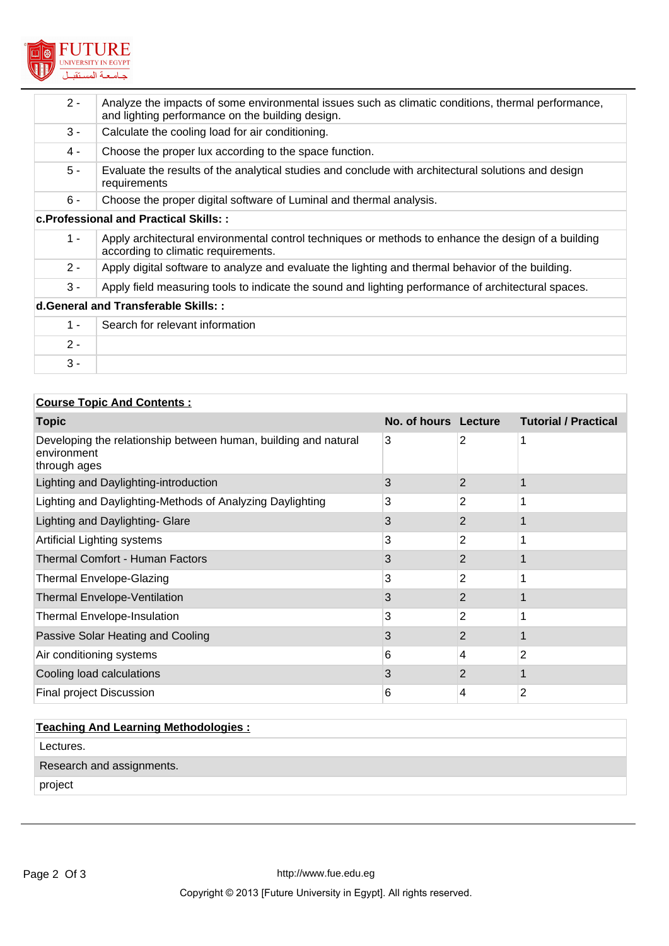

| $2 -$                                  | Analyze the impacts of some environmental issues such as climatic conditions, thermal performance,<br>and lighting performance on the building design. |  |  |  |
|----------------------------------------|--------------------------------------------------------------------------------------------------------------------------------------------------------|--|--|--|
| $3 -$                                  | Calculate the cooling load for air conditioning.                                                                                                       |  |  |  |
| 4 -                                    | Choose the proper lux according to the space function.                                                                                                 |  |  |  |
| $5 -$                                  | Evaluate the results of the analytical studies and conclude with architectural solutions and design<br>requirements                                    |  |  |  |
| $6 -$                                  | Choose the proper digital software of Luminal and thermal analysis.                                                                                    |  |  |  |
| c. Professional and Practical Skills:: |                                                                                                                                                        |  |  |  |
| $1 -$                                  | Apply architectural environmental control techniques or methods to enhance the design of a building<br>according to climatic requirements.             |  |  |  |
| $2 -$                                  | Apply digital software to analyze and evaluate the lighting and thermal behavior of the building.                                                      |  |  |  |
| $3 -$                                  | Apply field measuring tools to indicate the sound and lighting performance of architectural spaces.                                                    |  |  |  |
| d. General and Transferable Skills::   |                                                                                                                                                        |  |  |  |
| $1 -$                                  | Search for relevant information                                                                                                                        |  |  |  |
| $2 -$                                  |                                                                                                                                                        |  |  |  |
| $3 -$                                  |                                                                                                                                                        |  |  |  |

# **Course Topic And Contents :**

| <b>Topic</b>                                                                                   | No. of hours Lecture |   | <b>Tutorial / Practical</b> |
|------------------------------------------------------------------------------------------------|----------------------|---|-----------------------------|
| Developing the relationship between human, building and natural<br>environment<br>through ages | 3                    | 2 |                             |
| Lighting and Daylighting-introduction                                                          | 3                    | 2 |                             |
| Lighting and Daylighting-Methods of Analyzing Daylighting                                      | 3                    | 2 |                             |
| Lighting and Daylighting- Glare                                                                | 3                    | 2 |                             |
| Artificial Lighting systems                                                                    | 3                    | 2 |                             |
| <b>Thermal Comfort - Human Factors</b>                                                         | 3                    | 2 |                             |
| <b>Thermal Envelope-Glazing</b>                                                                | 3                    | 2 |                             |
| <b>Thermal Envelope-Ventilation</b>                                                            | 3                    | 2 |                             |
| <b>Thermal Envelope-Insulation</b>                                                             | 3                    | 2 |                             |
| Passive Solar Heating and Cooling                                                              | 3                    | 2 |                             |
| Air conditioning systems                                                                       | 6                    | 4 | 2                           |
| Cooling load calculations                                                                      | 3                    | 2 |                             |
| Final project Discussion                                                                       | 6                    | 4 | 2                           |

| <b>Teaching And Learning Methodologies:</b> |  |  |  |
|---------------------------------------------|--|--|--|
| Lectures.                                   |  |  |  |
| Research and assignments.                   |  |  |  |
| project                                     |  |  |  |